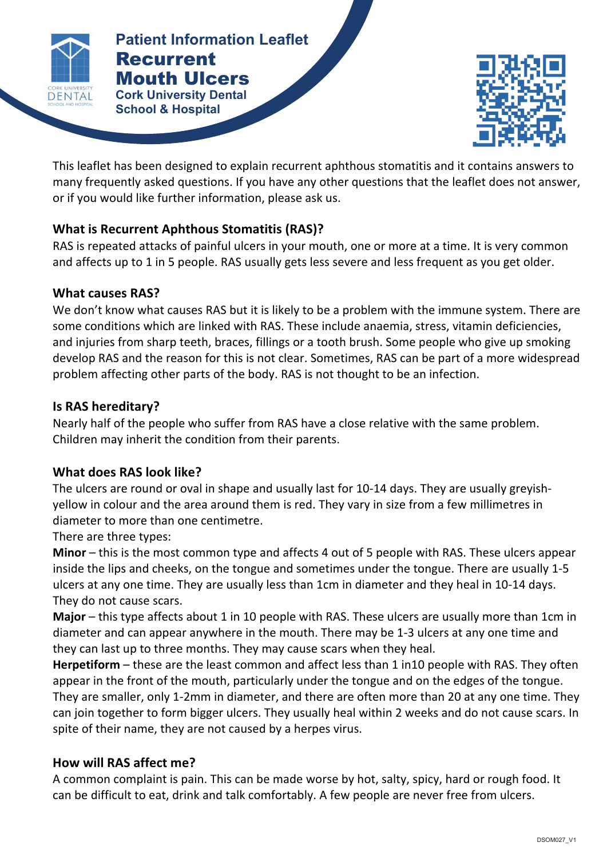

**Mouth Ulcers RECURRENT ISLAMINATE Patient Information Leaflet** Recurrent **Cork University Dental** 



This leaflet has been designed to explain recurrent aphthous stomatitis and it contains answers to many frequently asked questions. If you have any other questions that the leaflet does not answer, or if you would like further information, please ask us.

**a** complete the contract of the contract of the contract of the contract of the contract of the contract of the contract of the contract of the contract of the contract of the contract of the contract of the contract of t

# **What is Recurrent Aphthous Stomatitis (RAS)?**

**School & Hospital**

RAS is repeated attacks of painful ulcers in your mouth, one or more at a time. It is very common and affects up to 1 in 5 people. RAS usually gets less severe and less frequent as you get older.

# **What causes RAS?**

We don't know what causes RAS but it is likely to be a problem with the immune system. There are some conditions which are linked with RAS. These include anaemia, stress, vitamin deficiencies, and injuries from sharp teeth, braces, fillings or a tooth brush. Some people who give up smoking develop RAS and the reason for this is not clear. Sometimes, RAS can be part of a more widespread problem affecting other parts of the body. RAS is not thought to be an infection.

# **Is 
RAS hereditary?**

Nearly half of the people who suffer from RAS have a close relative with the same problem. Children may inherit the condition from their parents.

# **What does RAS look like?**

The ulcers are round or oval in shape and usually last for 10-14 days. They are usually greyishyellow in colour and the area around them is red. They vary in size from a few millimetres in diameter to more than one centimetre.

There are three types:

**Minor** – this is the most common type and affects 4 out of 5 people with RAS. These ulcers appear inside the lips and cheeks, on the tongue and sometimes under the tongue. There are usually 1-5 ulcers at any one time. They are usually less than 1cm in diameter and they heal in 10-14 days. They do not cause scars.

**Major** – this type affects about 1 in 10 people with RAS. These ulcers are usually more than 1cm in diameter and can appear anywhere in the mouth. There may be 1-3 ulcers at any one time and they can last up to three months. They may cause scars when they heal.

**Herpetiform** – these are the least common and affect less than 1 in10 people with RAS. They often appear in the front of the mouth, particularly under the tongue and on the edges of the tongue. They are smaller, only 1-2mm in diameter, and there are often more than 20 at any one time. They can join together to form bigger ulcers. They usually heal within 2 weeks and do not cause scars. In spite of their name, they are not caused by a herpes virus.

# **How will RAS affect me?**

A common complaint is pain. This can be made worse by hot, salty, spicy, hard or rough food. It can be difficult to eat, drink and talk comfortably. A few people are never free from ulcers.